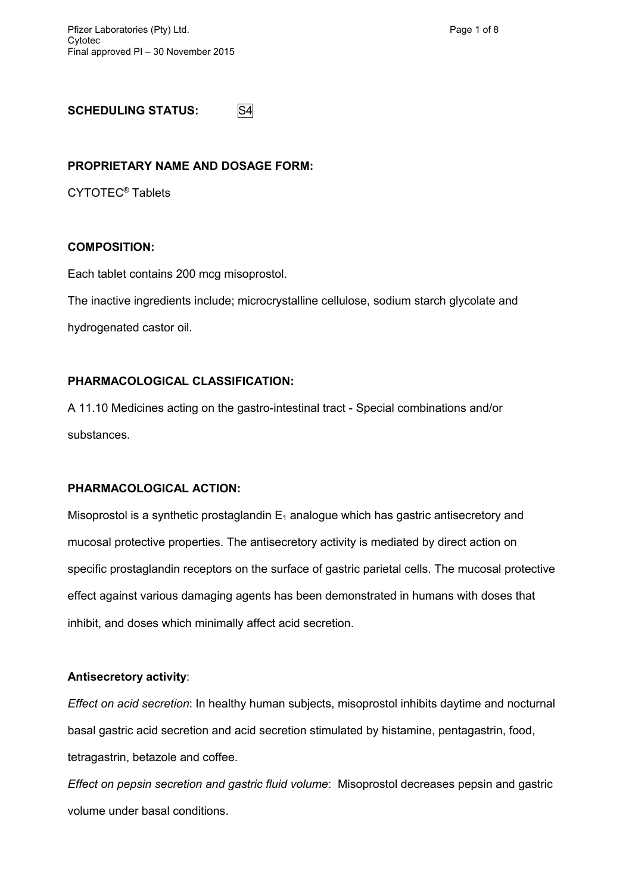# **SCHEDULING STATUS:** S4

### **PROPRIETARY NAME AND DOSAGE FORM:**

CYTOTEC® Tablets

### **COMPOSITION:**

Each tablet contains 200 mcg misoprostol.

The inactive ingredients include; microcrystalline cellulose, sodium starch glycolate and hydrogenated castor oil.

### **PHARMACOLOGICAL CLASSIFICATION:**

A 11.10 Medicines acting on the gastro-intestinal tract - Special combinations and/or substances.

#### **PHARMACOLOGICAL ACTION:**

Misoprostol is a synthetic prostaglandin  $E_1$  analogue which has gastric antisecretory and mucosal protective properties. The antisecretory activity is mediated by direct action on specific prostaglandin receptors on the surface of gastric parietal cells. The mucosal protective effect against various damaging agents has been demonstrated in humans with doses that inhibit, and doses which minimally affect acid secretion.

#### **Antisecretory activity**:

*Effect on acid secretion*: In healthy human subjects, misoprostol inhibits daytime and nocturnal basal gastric acid secretion and acid secretion stimulated by histamine, pentagastrin, food, tetragastrin, betazole and coffee.

*Effect on pepsin secretion and gastric fluid volume*: Misoprostol decreases pepsin and gastric volume under basal conditions.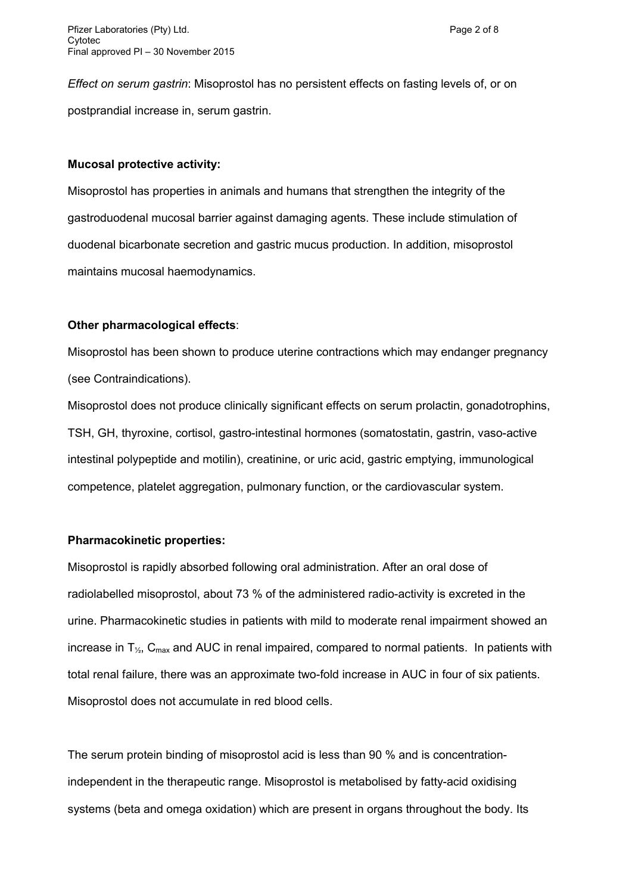*Effect on serum gastrin*: Misoprostol has no persistent effects on fasting levels of, or on postprandial increase in, serum gastrin.

#### **Mucosal protective activity:**

Misoprostol has properties in animals and humans that strengthen the integrity of the gastroduodenal mucosal barrier against damaging agents. These include stimulation of duodenal bicarbonate secretion and gastric mucus production. In addition, misoprostol maintains mucosal haemodynamics.

#### **Other pharmacological effects**:

Misoprostol has been shown to produce uterine contractions which may endanger pregnancy (see Contraindications).

Misoprostol does not produce clinically significant effects on serum prolactin, gonadotrophins, TSH, GH, thyroxine, cortisol, gastro-intestinal hormones (somatostatin, gastrin, vaso-active intestinal polypeptide and motilin), creatinine, or uric acid, gastric emptying, immunological competence, platelet aggregation, pulmonary function, or the cardiovascular system.

#### **Pharmacokinetic properties:**

Misoprostol is rapidly absorbed following oral administration. After an oral dose of radiolabelled misoprostol, about 73 % of the administered radio-activity is excreted in the urine. Pharmacokinetic studies in patients with mild to moderate renal impairment showed an increase in  $T_{\gamma}$ , C<sub>max</sub> and AUC in renal impaired, compared to normal patients. In patients with total renal failure, there was an approximate two-fold increase in AUC in four of six patients. Misoprostol does not accumulate in red blood cells.

The serum protein binding of misoprostol acid is less than 90 % and is concentrationindependent in the therapeutic range. Misoprostol is metabolised by fatty-acid oxidising systems (beta and omega oxidation) which are present in organs throughout the body. Its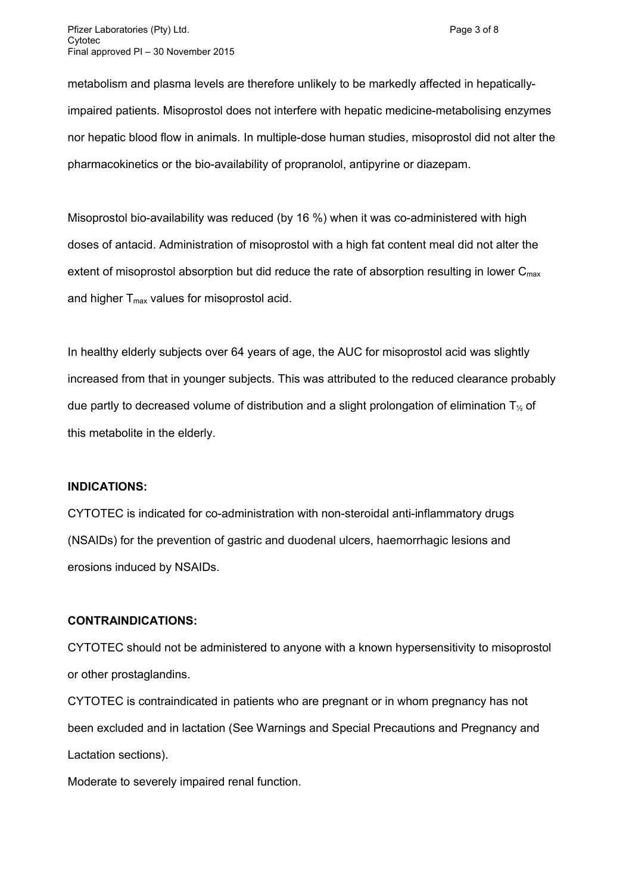metabolism and plasma levels are therefore unlikely to be markedly affected in hepaticallyimpaired patients. Misoprostol does not interfere with hepatic medicine-metabolising enzymes nor hepatic blood flow in animals. In multiple-dose human studies, misoprostol did not alter the pharmacokinetics or the bio-availability of propranolol, antipyrine or diazepam.

Misoprostol bio-availability was reduced (by 16 %) when it was co-administered with high doses of antacid. Administration of misoprostol with a high fat content meal did not alter the extent of misoprostol absorption but did reduce the rate of absorption resulting in lower  $C_{\text{max}}$ and higher  $T_{\text{max}}$  values for misoprostol acid.

In healthy elderly subjects over 64 years of age, the AUC for misoprostol acid was slightly increased from that in younger subjects. This was attributed to the reduced clearance probably due partly to decreased volume of distribution and a slight prolongation of elimination  $T_{\gamma_2}$  of this metabolite in the elderly.

#### **INDICATIONS:**

CYTOTEC is indicated for co-administration with non-steroidal anti-inflammatory drugs (NSAIDs) for the prevention of gastric and duodenal ulcers, haemorrhagic lesions and erosions induced by NSAIDs.

## **CONTRAINDICATIONS:**

CYTOTEC should not be administered to anyone with a known hypersensitivity to misoprostol or other prostaglandins.

CYTOTEC is contraindicated in patients who are pregnant or in whom pregnancy has not been excluded and in lactation (See Warnings and Special Precautions and Pregnancy and Lactation sections).

Moderate to severely impaired renal function.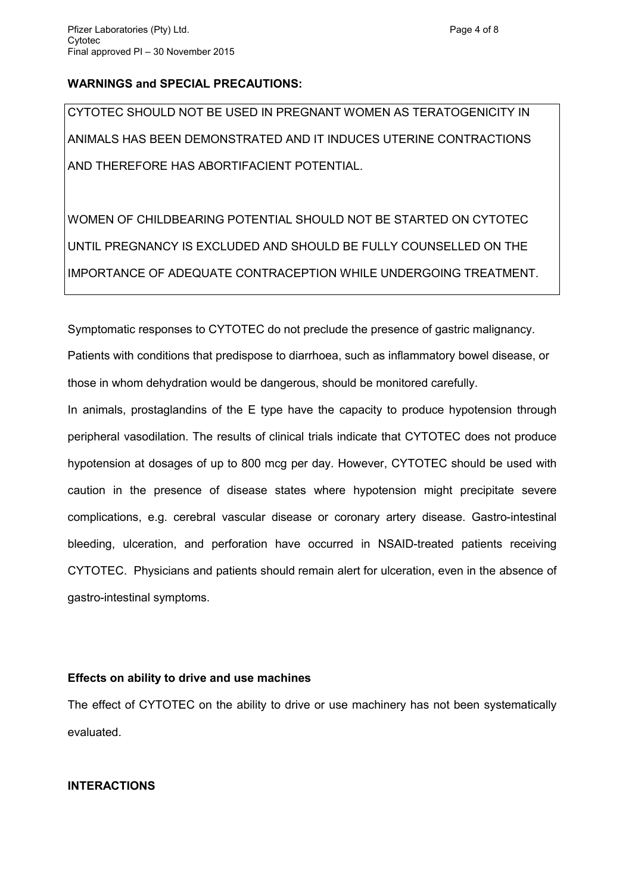## **WARNINGS and SPECIAL PRECAUTIONS:**

CYTOTEC SHOULD NOT BE USED IN PREGNANT WOMEN AS TERATOGENICITY IN ANIMALS HAS BEEN DEMONSTRATED AND IT INDUCES UTERINE CONTRACTIONS AND THEREFORE HAS ABORTIFACIENT POTENTIAL.

WOMEN OF CHILDBEARING POTENTIAL SHOULD NOT BE STARTED ON CYTOTEC UNTIL PREGNANCY IS EXCLUDED AND SHOULD BE FULLY COUNSELLED ON THE IMPORTANCE OF ADEQUATE CONTRACEPTION WHILE UNDERGOING TREATMENT.

Symptomatic responses to CYTOTEC do not preclude the presence of gastric malignancy.

Patients with conditions that predispose to diarrhoea, such as inflammatory bowel disease, or those in whom dehydration would be dangerous, should be monitored carefully.

In animals, prostaglandins of the E type have the capacity to produce hypotension through peripheral vasodilation. The results of clinical trials indicate that CYTOTEC does not produce hypotension at dosages of up to 800 mcg per day. However, CYTOTEC should be used with caution in the presence of disease states where hypotension might precipitate severe complications, e.g. cerebral vascular disease or coronary artery disease. Gastro-intestinal bleeding, ulceration, and perforation have occurred in NSAID-treated patients receiving CYTOTEC. Physicians and patients should remain alert for ulceration, even in the absence of gastro-intestinal symptoms.

## **Effects on ability to drive and use machines**

The effect of CYTOTEC on the ability to drive or use machinery has not been systematically evaluated.

## **INTERACTIONS**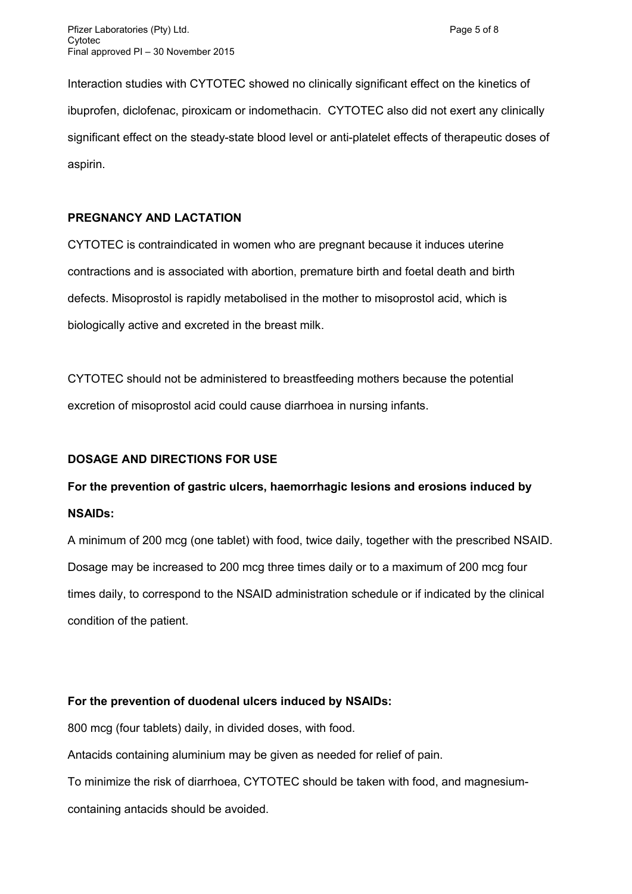Interaction studies with CYTOTEC showed no clinically significant effect on the kinetics of ibuprofen, diclofenac, piroxicam or indomethacin. CYTOTEC also did not exert any clinically significant effect on the steady-state blood level or anti-platelet effects of therapeutic doses of aspirin.

# **PREGNANCY AND LACTATION**

CYTOTEC is contraindicated in women who are pregnant because it induces uterine contractions and is associated with abortion, premature birth and foetal death and birth defects. Misoprostol is rapidly metabolised in the mother to misoprostol acid, which is biologically active and excreted in the breast milk.

CYTOTEC should not be administered to breastfeeding mothers because the potential excretion of misoprostol acid could cause diarrhoea in nursing infants.

## **DOSAGE AND DIRECTIONS FOR USE**

# **For the prevention of gastric ulcers, haemorrhagic lesions and erosions induced by NSAIDs:**

A minimum of 200 mcg (one tablet) with food, twice daily, together with the prescribed NSAID. Dosage may be increased to 200 mcg three times daily or to a maximum of 200 mcg four times daily, to correspond to the NSAID administration schedule or if indicated by the clinical condition of the patient.

## **For the prevention of duodenal ulcers induced by NSAIDs:**

800 mcg (four tablets) daily, in divided doses, with food.

Antacids containing aluminium may be given as needed for relief of pain.

To minimize the risk of diarrhoea, CYTOTEC should be taken with food, and magnesium-

containing antacids should be avoided.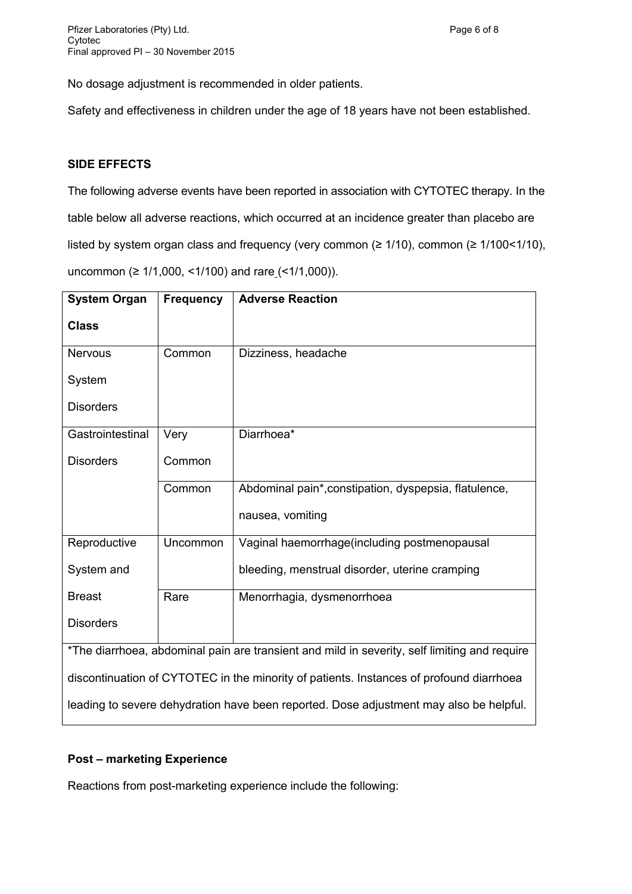No dosage adjustment is recommended in older patients.

Safety and effectiveness in children under the age of 18 years have not been established.

## **SIDE EFFECTS**

The following adverse events have been reported in association with CYTOTEC therapy. In the table below all adverse reactions, which occurred at an incidence greater than placebo are listed by system organ class and frequency (very common (≥ 1/10), common (≥ 1/100<1/10), uncommon (≥ 1/1,000, <1/100) and rare  $($  <1/1,000)).

| <b>System Organ</b>                                                                          | <b>Frequency</b> | <b>Adverse Reaction</b>                               |
|----------------------------------------------------------------------------------------------|------------------|-------------------------------------------------------|
| <b>Class</b>                                                                                 |                  |                                                       |
| <b>Nervous</b>                                                                               | Common           | Dizziness, headache                                   |
| System                                                                                       |                  |                                                       |
| <b>Disorders</b>                                                                             |                  |                                                       |
| Gastrointestinal                                                                             | Very             | Diarrhoea*                                            |
| <b>Disorders</b>                                                                             | Common           |                                                       |
|                                                                                              | Common           | Abdominal pain*, constipation, dyspepsia, flatulence, |
|                                                                                              |                  | nausea, vomiting                                      |
| Reproductive                                                                                 | <b>Uncommon</b>  | Vaginal haemorrhage(including postmenopausal          |
| System and                                                                                   |                  | bleeding, menstrual disorder, uterine cramping        |
| <b>Breast</b>                                                                                | Rare             | Menorrhagia, dysmenorrhoea                            |
| <b>Disorders</b>                                                                             |                  |                                                       |
| *The diarrhoea, abdominal pain are transient and mild in severity, self limiting and require |                  |                                                       |
| discontinuation of CYTOTEC in the minority of patients. Instances of profound diarrhoea      |                  |                                                       |
| leading to severe dehydration have been reported. Dose adjustment may also be helpful.       |                  |                                                       |

## **Post – marketing Experience**

Reactions from post-marketing experience include the following: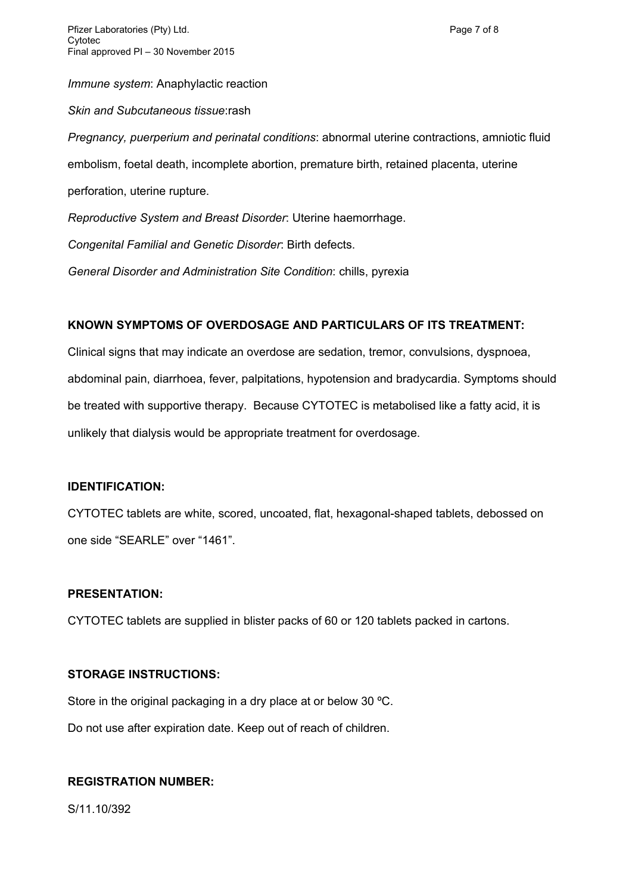*Immune system*: Anaphylactic reaction

*Skin and Subcutaneous tissue*:rash

*Pregnancy, puerperium and perinatal conditions*: abnormal uterine contractions, amniotic fluid embolism, foetal death, incomplete abortion, premature birth, retained placenta, uterine perforation, uterine rupture. *Reproductive System and Breast Disorder*: Uterine haemorrhage.

*Congenital Familial and Genetic Disorder*: Birth defects.

*General Disorder and Administration Site Condition*: chills, pyrexia

## **KNOWN SYMPTOMS OF OVERDOSAGE AND PARTICULARS OF ITS TREATMENT:**

Clinical signs that may indicate an overdose are sedation, tremor, convulsions, dyspnoea, abdominal pain, diarrhoea, fever, palpitations, hypotension and bradycardia. Symptoms should be treated with supportive therapy. Because CYTOTEC is metabolised like a fatty acid, it is unlikely that dialysis would be appropriate treatment for overdosage.

#### **IDENTIFICATION:**

CYTOTEC tablets are white, scored, uncoated, flat, hexagonal-shaped tablets, debossed on one side "SEARLE" over "1461".

#### **PRESENTATION:**

CYTOTEC tablets are supplied in blister packs of 60 or 120 tablets packed in cartons.

#### **STORAGE INSTRUCTIONS:**

Store in the original packaging in a dry place at or below 30 ºC. Do not use after expiration date. Keep out of reach of children.

## **REGISTRATION NUMBER:**

S/11.10/392